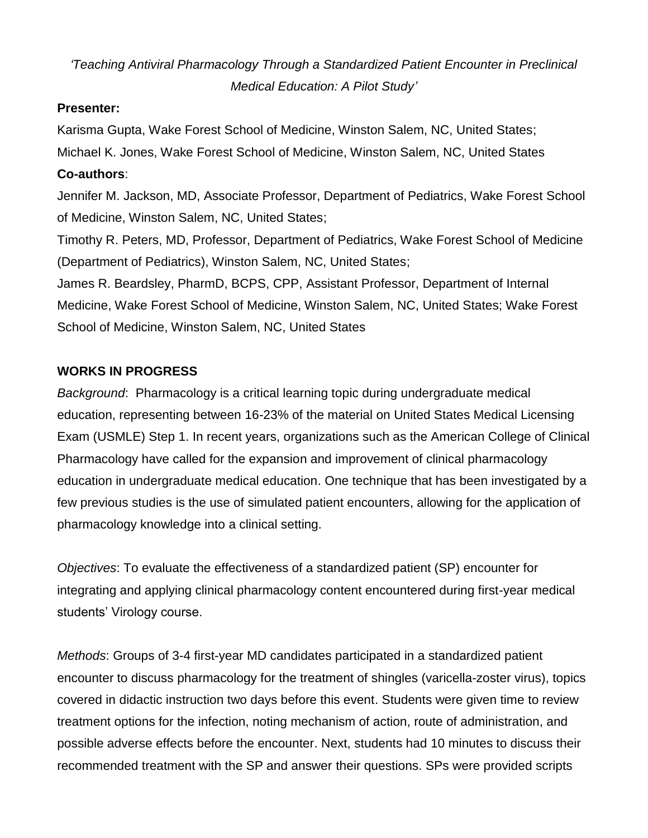## *'Teaching Antiviral Pharmacology Through a Standardized Patient Encounter in Preclinical Medical Education: A Pilot Study'*

## **Presenter:**

Karisma Gupta, Wake Forest School of Medicine, Winston Salem, NC, United States; Michael K. Jones, Wake Forest School of Medicine, Winston Salem, NC, United States **Co-authors**:

Jennifer M. Jackson, MD, Associate Professor, Department of Pediatrics, Wake Forest School of Medicine, Winston Salem, NC, United States;

Timothy R. Peters, MD, Professor, Department of Pediatrics, Wake Forest School of Medicine (Department of Pediatrics), Winston Salem, NC, United States;

James R. Beardsley, PharmD, BCPS, CPP, Assistant Professor, Department of Internal Medicine, Wake Forest School of Medicine, Winston Salem, NC, United States; Wake Forest School of Medicine, Winston Salem, NC, United States

## **WORKS IN PROGRESS**

*Background*: Pharmacology is a critical learning topic during undergraduate medical education, representing between 16-23% of the material on United States Medical Licensing Exam (USMLE) Step 1. In recent years, organizations such as the American College of Clinical Pharmacology have called for the expansion and improvement of clinical pharmacology education in undergraduate medical education. One technique that has been investigated by a few previous studies is the use of simulated patient encounters, allowing for the application of pharmacology knowledge into a clinical setting.

*Objectives*: To evaluate the effectiveness of a standardized patient (SP) encounter for integrating and applying clinical pharmacology content encountered during first-year medical students' Virology course.

*Methods*: Groups of 3-4 first-year MD candidates participated in a standardized patient encounter to discuss pharmacology for the treatment of shingles (varicella-zoster virus), topics covered in didactic instruction two days before this event. Students were given time to review treatment options for the infection, noting mechanism of action, route of administration, and possible adverse effects before the encounter. Next, students had 10 minutes to discuss their recommended treatment with the SP and answer their questions. SPs were provided scripts